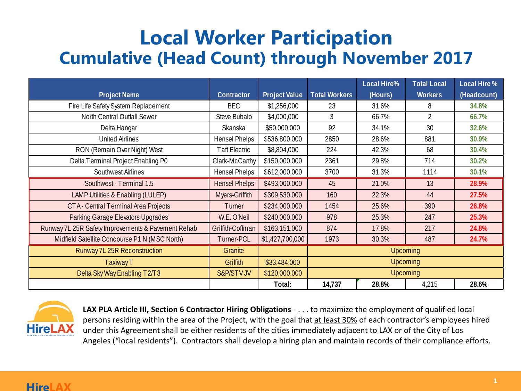## **Local Worker Participation Cumulative (Head Count) through November 2017**

|                                                    |                      |                      |                      | <b>Local Hire%</b> | <b>Total Local</b> | <b>Local Hire %</b> |  |
|----------------------------------------------------|----------------------|----------------------|----------------------|--------------------|--------------------|---------------------|--|
| <b>Project Name</b>                                | Contractor           | <b>Project Value</b> | <b>Total Workers</b> | (Hours)            | <b>Workers</b>     | (Headcount)         |  |
| Fire Life Safety System Replacement                | <b>BEC</b>           | \$1,256,000          | 23                   | 31.6%              | 8                  | 34.8%               |  |
| North Central Outfall Sewer                        | Steve Bubalo         | \$4,000,000          | $\mathfrak{Z}$       | 66.7%              | $\overline{2}$     | 66.7%               |  |
| Delta Hangar                                       | Skanska              | \$50,000,000         | 92                   | 34.1%              | 30                 | 32.6%               |  |
| <b>United Airlines</b>                             | <b>Hensel Phelps</b> | \$536,800,000        | 2850                 | 28.6%              | 881                | 30.9%               |  |
| RON (Remain Over Night) West                       | <b>Taft Electric</b> | \$8,804,000          | 224                  | 42.3%              | 68                 | 30.4%               |  |
| Delta Terminal Project Enabling P0                 | Clark-McCarthy       | \$150,000,000        | 2361                 | 29.8%              | 714                | 30.2%               |  |
| Southwest Airlines                                 | <b>Hensel Phelps</b> | \$612,000,000        | 3700                 | 31.3%              | 1114               | 30.1%               |  |
| Southwest - Terminal 1.5                           | <b>Hensel Phelps</b> | \$493,000,000        | 45                   | 21.0%              | 13                 | 28.9%               |  |
| <b>LAMP Utilities &amp; Enabling (LULEP)</b>       | Myers-Griffith       | \$309,530,000        | 160                  | 22.3%              | 44                 | 27.5%               |  |
| CTA - Central Terminal Area Projects               | Turner               | \$234,000,000        | 1454                 | 25.6%              | 390                | 26.8%               |  |
| Parking Garage Elevators Upgrades                  | W.E. O'Neil          | \$240,000,000        | 978                  | 25.3%              | 247                | 25.3%               |  |
| Runway 7L 25R Safety Improvements & Pavement Rehab | Griffith-Coffman     | \$163,151,000        | 874                  | 17.8%              | 217                | 24.8%               |  |
| Midfield Satellite Concourse P1 N (MSC North)      | Turner-PCL           | \$1,427,700,000      | 1973                 | 30.3%              | 487                | 24.7%               |  |
| Runway 7L 25R Reconstruction                       | Granite              |                      | <b>Upcoming</b>      |                    |                    |                     |  |
| <b>Taxiway T</b>                                   | Griffith             | \$33,484,000         | <b>Upcoming</b>      |                    |                    |                     |  |
| Delta Sky Way Enabling T2/T3                       | <b>S&amp;P/STVJV</b> | \$120,000,000        | <b>Upcoming</b>      |                    |                    |                     |  |
|                                                    |                      | Total:               | 14,737               | 28.8%              | 4,215              | 28.6%               |  |



**LAX PLA Article III, Section 6 Contractor Hiring Obligations** - . . . to maximize the employment of qualified local persons residing within the area of the Project, with the goal that at least 30% of each contractor's employees hired under this Agreement shall be either residents of the cities immediately adjacent to LAX or of the City of Los Angeles ("local residents"). Contractors shall develop a hiring plan and maintain records of their compliance efforts.